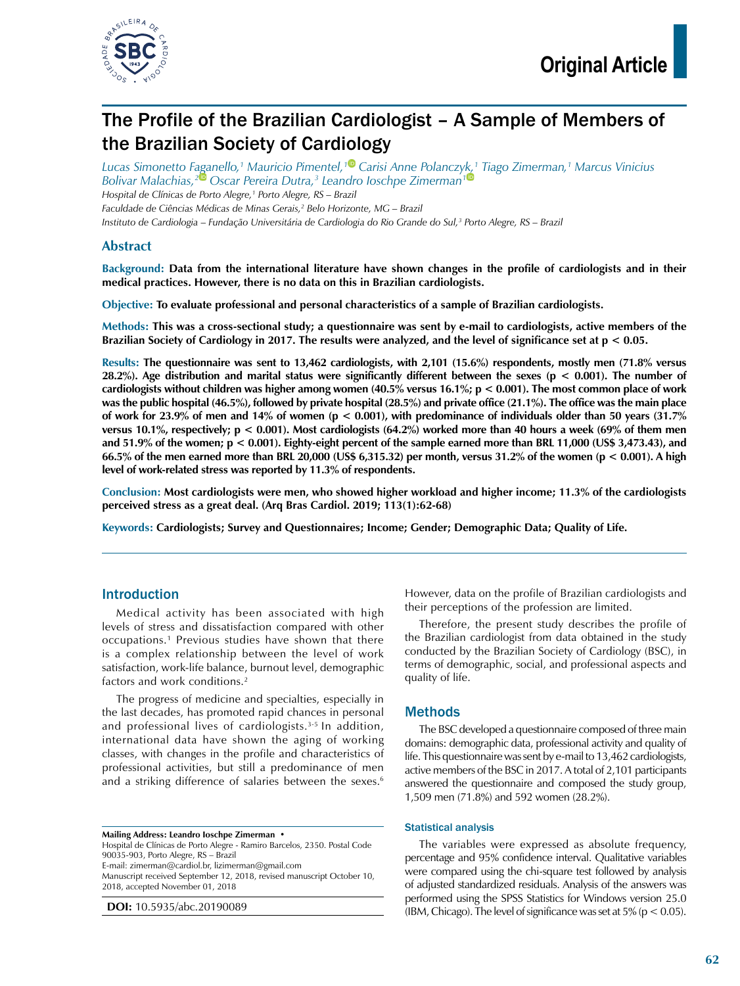

# The Profile of the Brazilian Cardiologist – A Sample of Members of the Brazilian Society of Cardiology

*Lucas Simonetto Faganello,1 Mauricio Pimentel,[1](https://orcid.org/0000-0002-1489-5349) Carisi Anne Polancz[yk,](https://orcid.org/0000-0001-9980-9114)1 Tiago Zimerman,1 Marcus Vinicius Bolivar Malachias,[2](https://orcid.org/0000-0002-8171-3920) Oscar Pereira Dutra,3 Leandro Ioschpe Zimerman1 Hospital de Clínicas de Porto Alegre,1 Porto Alegre, RS – Brazil Faculdade de Ciências Médicas de Minas Gerais,2 Belo Horizonte, MG – Brazil*

*Instituto de Cardiologia – Fundação Universitária de Cardiologia do Rio Grande do Sul,3 Porto Alegre, RS – Brazil*

### **Abstract**

**Background: Data from the international literature have shown changes in the profile of cardiologists and in their medical practices. However, there is no data on this in Brazilian cardiologists.**

**Objective: To evaluate professional and personal characteristics of a sample of Brazilian cardiologists.**

**Methods: This was a cross-sectional study; a questionnaire was sent by e-mail to cardiologists, active members of the Brazilian Society of Cardiology in 2017. The results were analyzed, and the level of significance set at p < 0.05.**

**Results: The questionnaire was sent to 13,462 cardiologists, with 2,101 (15.6%) respondents, mostly men (71.8% versus 28.2%). Age distribution and marital status were significantly different between the sexes (p < 0.001). The number of cardiologists without children was higher among women (40.5% versus 16.1%; p < 0.001). The most common place of work was the public hospital (46.5%), followed by private hospital (28.5%) and private office (21.1%). The office was the main place of work for 23.9% of men and 14% of women (p < 0.001), with predominance of individuals older than 50 years (31.7% versus 10.1%, respectively; p < 0.001). Most cardiologists (64.2%) worked more than 40 hours a week (69% of them men and 51.9% of the women; p < 0.001). Eighty-eight percent of the sample earned more than BRL 11,000 (US\$ 3,473.43), and 66.5% of the men earned more than BRL 20,000 (US\$ 6,315.32) per month, versus 31.2% of the women (p < 0.001). A high level of work-related stress was reported by 11.3% of respondents.** 

**Conclusion: Most cardiologists were men, who showed higher workload and higher income; 11.3% of the cardiologists perceived stress as a great deal. (Arq Bras Cardiol. 2019; 113(1):62-68)**

**Keywords: Cardiologists; Survey and Questionnaires; Income; Gender; Demographic Data; Quality of Life.**

### Introduction

Medical activity has been associated with high levels of stress and dissatisfaction compared with other occupations.1 Previous studies have shown that there is a complex relationship between the level of work satisfaction, work-life balance, burnout level, demographic factors and work conditions.<sup>2</sup>

The progress of medicine and specialties, especially in the last decades, has promoted rapid chances in personal and professional lives of cardiologists.<sup>3-5</sup> In addition, international data have shown the aging of working classes, with changes in the profile and characteristics of professional activities, but still a predominance of men and a striking difference of salaries between the sexes.<sup>6</sup>

**Mailing Address: Leandro Ioschpe Zimerman •** Hospital de Clínicas de Porto Alegre - Ramiro Barcelos, 2350. Postal Code 90035-903, Porto Alegre, RS – Brazil E-mail: zimerman@cardiol.br, [lizimerman@gmail.com](mailto:lizimerman@gmail.com) Manuscript received September 12, 2018, revised manuscript October 10, 2018, accepted November 01, 2018

**DOI:** 10.5935/abc.20190089

However, data on the profile of Brazilian cardiologists and their perceptions of the profession are limited.

Therefore, the present study describes the profile of the Brazilian cardiologist from data obtained in the study conducted by the Brazilian Society of Cardiology (BSC), in terms of demographic, social, and professional aspects and quality of life.

### Methods

The BSC developed a questionnaire composed of three main domains: demographic data, professional activity and quality of life. This questionnaire was sent by e-mail to 13,462 cardiologists, active members of the BSC in 2017. A total of 2,101 participants answered the questionnaire and composed the study group, 1,509 men (71.8%) and 592 women (28.2%).

#### Statistical analysis

The variables were expressed as absolute frequency, percentage and 95% confidence interval. Qualitative variables were compared using the chi-square test followed by analysis of adjusted standardized residuals. Analysis of the answers was performed using the SPSS Statistics for Windows version 25.0 (IBM, Chicago). The level of significance was set at  $5\%$  ( $p < 0.05$ ).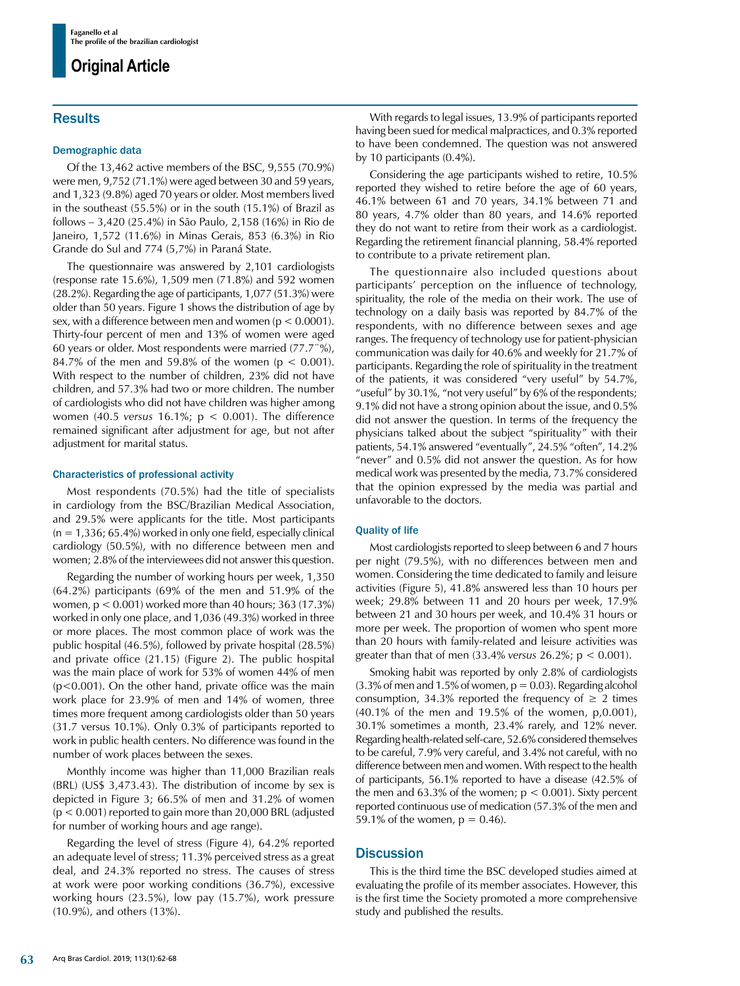## **Results**

#### Demographic data

Of the 13,462 active members of the BSC, 9,555 (70.9%) were men, 9,752 (71.1%) were aged between 30 and 59 years, and 1,323 (9.8%) aged 70 years or older. Most members lived in the southeast (55.5%) or in the south (15.1%) of Brazil as follows – 3,420 (25.4%) in São Paulo, 2,158 (16%) in Rio de Janeiro, 1,572 (11.6%) in Minas Gerais, 853 (6.3%) in Rio Grande do Sul and 774 (5,7%) in Paraná State.

The questionnaire was answered by 2,101 cardiologists (response rate 15.6%), 1,509 men (71.8%) and 592 women (28.2%). Regarding the age of participants, 1,077 (51.3%) were older than 50 years. Figure 1 shows the distribution of age by sex, with a difference between men and women ( $p < 0.0001$ ). Thirty-four percent of men and 13% of women were aged 60 years or older. Most respondents were married (77.7¨%), 84.7% of the men and 59.8% of the women ( $p < 0.001$ ). With respect to the number of children, 23% did not have children, and 57.3% had two or more children. The number of cardiologists who did not have children was higher among women (40.5 *versus* 16.1%; p < 0.001). The difference remained significant after adjustment for age, but not after adjustment for marital status.

#### Characteristics of professional activity

Most respondents (70.5%) had the title of specialists in cardiology from the BSC/Brazilian Medical Association, and 29.5% were applicants for the title. Most participants  $(n = 1,336; 65.4\%)$  worked in only one field, especially clinical cardiology (50.5%), with no difference between men and women; 2.8% of the interviewees did not answer this question.

Regarding the number of working hours per week, 1,350 (64.2%) participants (69% of the men and 51.9% of the women, p < 0.001) worked more than 40 hours; 363 (17.3%) worked in only one place, and 1,036 (49.3%) worked in three or more places. The most common place of work was the public hospital (46.5%), followed by private hospital (28.5%) and private office (21.15) (Figure 2). The public hospital was the main place of work for 53% of women 44% of men  $(p<0.001)$ . On the other hand, private office was the main work place for 23.9% of men and 14% of women, three times more frequent among cardiologists older than 50 years (31.7 versus 10.1%). Only 0.3% of participants reported to work in public health centers. No difference was found in the number of work places between the sexes.

Monthly income was higher than 11,000 Brazilian reals (BRL) (US\$ 3,473.43). The distribution of income by sex is depicted in Figure 3; 66.5% of men and 31.2% of women (p < 0.001) reported to gain more than 20,000 BRL (adjusted for number of working hours and age range).

Regarding the level of stress (Figure 4), 64.2% reported an adequate level of stress; 11.3% perceived stress as a great deal, and 24.3% reported no stress. The causes of stress at work were poor working conditions (36.7%), excessive working hours (23.5%), low pay (15.7%), work pressure (10.9%), and others (13%).

With regards to legal issues, 13.9% of participants reported having been sued for medical malpractices, and 0.3% reported to have been condemned. The question was not answered by 10 participants (0.4%).

Considering the age participants wished to retire, 10.5% reported they wished to retire before the age of 60 years, 46.1% between 61 and 70 years, 34.1% between 71 and 80 years, 4.7% older than 80 years, and 14.6% reported they do not want to retire from their work as a cardiologist. Regarding the retirement financial planning, 58.4% reported to contribute to a private retirement plan.

The questionnaire also included questions about participants' perception on the influence of technology, spirituality, the role of the media on their work. The use of technology on a daily basis was reported by 84.7% of the respondents, with no difference between sexes and age ranges. The frequency of technology use for patient-physician communication was daily for 40.6% and weekly for 21.7% of participants. Regarding the role of spirituality in the treatment of the patients, it was considered "very useful" by 54.7%, "useful" by 30.1%, "not very useful" by 6% of the respondents; 9.1% did not have a strong opinion about the issue, and 0.5% did not answer the question. In terms of the frequency the physicians talked about the subject "spirituality" with their patients, 54.1% answered "eventually", 24.5% "often", 14.2% "never" and 0.5% did not answer the question. As for how medical work was presented by the media, 73.7% considered that the opinion expressed by the media was partial and unfavorable to the doctors.

### Quality of life

Most cardiologists reported to sleep between 6 and 7 hours per night (79.5%), with no differences between men and women. Considering the time dedicated to family and leisure activities (Figure 5), 41.8% answered less than 10 hours per week; 29.8% between 11 and 20 hours per week, 17.9% between 21 and 30 hours per week, and 10.4% 31 hours or more per week. The proportion of women who spent more than 20 hours with family-related and leisure activities was greater than that of men (33.4% *versus* 26.2%; p < 0.001).

Smoking habit was reported by only 2.8% of cardiologists  $(3.3\%$  of men and 1.5% of women,  $p = 0.03$ ). Regarding alcohol consumption, 34.3% reported the frequency of  $\geq 2$  times (40.1% of the men and 19.5% of the women, p,0.001), 30.1% sometimes a month, 23.4% rarely, and 12% never. Regarding health-related self-care, 52.6% considered themselves to be careful, 7.9% very careful, and 3.4% not careful, with no difference between men and women. With respect to the health of participants, 56.1% reported to have a disease (42.5% of the men and 63.3% of the women;  $p < 0.001$ ). Sixty percent reported continuous use of medication (57.3% of the men and 59.1% of the women,  $p = 0.46$ ).

### **Discussion**

This is the third time the BSC developed studies aimed at evaluating the profile of its member associates. However, this is the first time the Society promoted a more comprehensive study and published the results.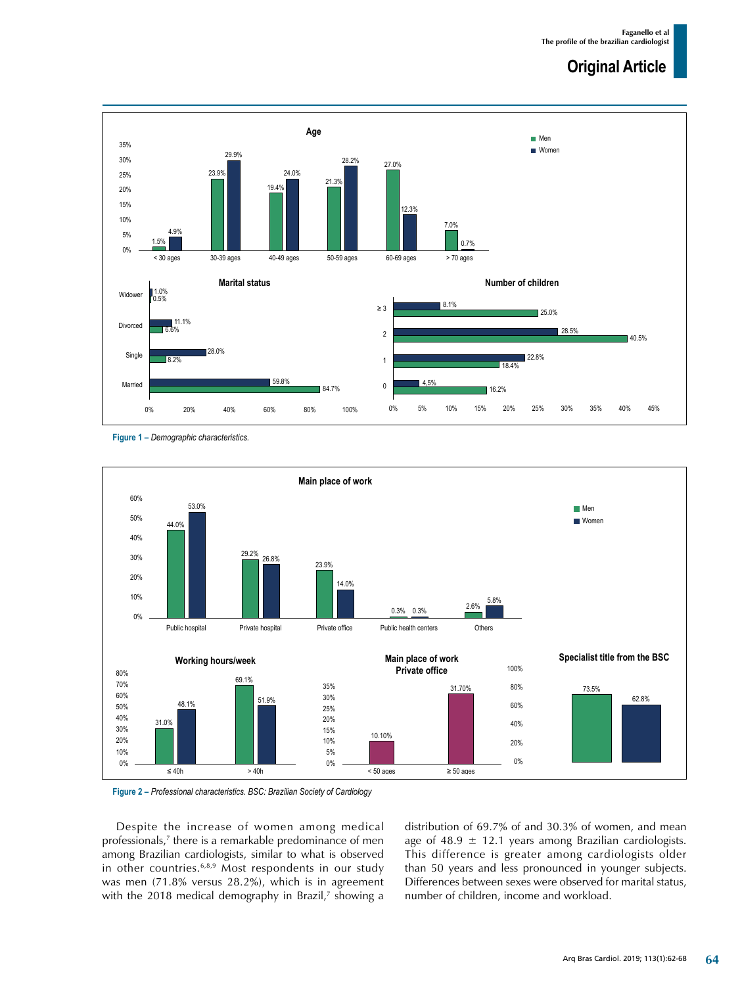

**Figure 1 –** *Demographic characteristics.*



**Figure 2 –** *Professional characteristics. BSC: Brazilian Society of Cardiology*

Despite the increase of women among medical professionals,<sup>7</sup> there is a remarkable predominance of men among Brazilian cardiologists, similar to what is observed in other countries.<sup>6,8,9</sup> Most respondents in our study was men (71.8% versus 28.2%), which is in agreement with the 2018 medical demography in Brazil,<sup>7</sup> showing a distribution of 69.7% of and 30.3% of women, and mean age of 48.9  $\pm$  12.1 years among Brazilian cardiologists. This difference is greater among cardiologists older than 50 years and less pronounced in younger subjects. Differences between sexes were observed for marital status, number of children, income and workload.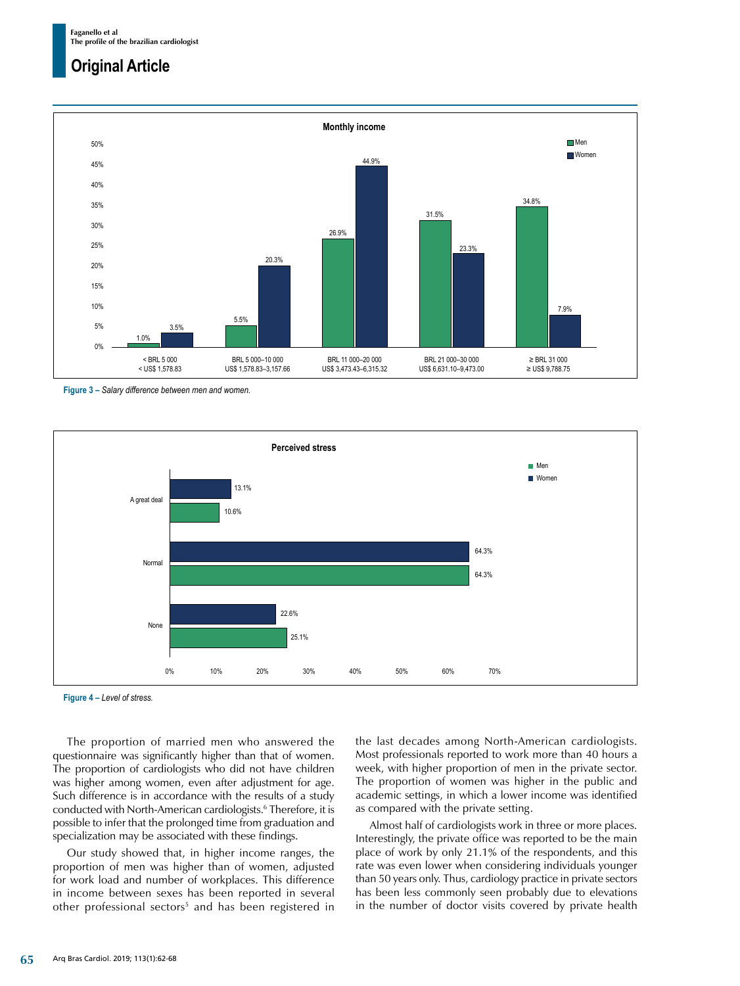

**Figure 3 –** *Salary difference between men and women.*



**Figure 4 –** *Level of stress.*

The proportion of married men who answered the questionnaire was significantly higher than that of women. The proportion of cardiologists who did not have children was higher among women, even after adjustment for age. Such difference is in accordance with the results of a study conducted with North-American cardiologists.6 Therefore, it is possible to infer that the prolonged time from graduation and specialization may be associated with these findings.

Our study showed that, in higher income ranges, the proportion of men was higher than of women, adjusted for work load and number of workplaces. This difference in income between sexes has been reported in several other professional sectors<sup>5</sup> and has been registered in the last decades among North-American cardiologists. Most professionals reported to work more than 40 hours a week, with higher proportion of men in the private sector. The proportion of women was higher in the public and academic settings, in which a lower income was identified as compared with the private setting.

Almost half of cardiologists work in three or more places. Interestingly, the private office was reported to be the main place of work by only 21.1% of the respondents, and this rate was even lower when considering individuals younger than 50 years only. Thus, cardiology practice in private sectors has been less commonly seen probably due to elevations in the number of doctor visits covered by private health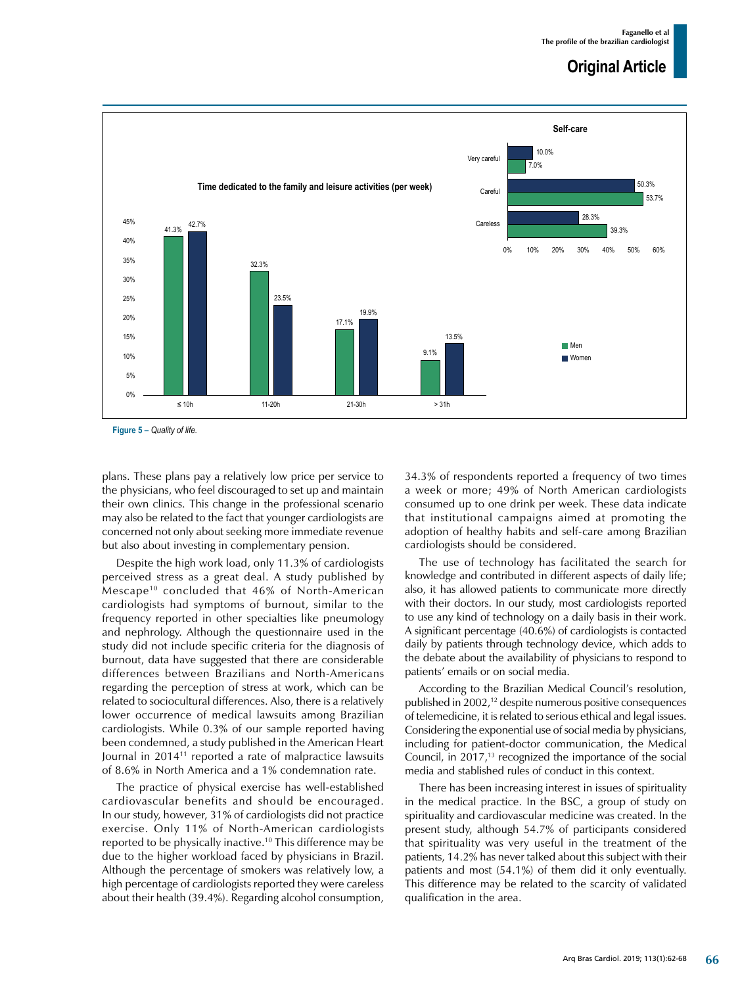

**Figure 5 –** *Quality of life.*

plans. These plans pay a relatively low price per service to the physicians, who feel discouraged to set up and maintain their own clinics. This change in the professional scenario may also be related to the fact that younger cardiologists are concerned not only about seeking more immediate revenue but also about investing in complementary pension.

Despite the high work load, only 11.3% of cardiologists perceived stress as a great deal. A study published by Mescape10 concluded that 46% of North-American cardiologists had symptoms of burnout, similar to the frequency reported in other specialties like pneumology and nephrology. Although the questionnaire used in the study did not include specific criteria for the diagnosis of burnout, data have suggested that there are considerable differences between Brazilians and North-Americans regarding the perception of stress at work, which can be related to sociocultural differences. Also, there is a relatively lower occurrence of medical lawsuits among Brazilian cardiologists. While 0.3% of our sample reported having been condemned, a study published in the American Heart Journal in 201411 reported a rate of malpractice lawsuits of 8.6% in North America and a 1% condemnation rate.

The practice of physical exercise has well-established cardiovascular benefits and should be encouraged. In our study, however, 31% of cardiologists did not practice exercise. Only 11% of North-American cardiologists reported to be physically inactive.10 This difference may be due to the higher workload faced by physicians in Brazil. Although the percentage of smokers was relatively low, a high percentage of cardiologists reported they were careless about their health (39.4%). Regarding alcohol consumption, 34.3% of respondents reported a frequency of two times a week or more; 49% of North American cardiologists consumed up to one drink per week. These data indicate that institutional campaigns aimed at promoting the adoption of healthy habits and self-care among Brazilian cardiologists should be considered.

The use of technology has facilitated the search for knowledge and contributed in different aspects of daily life; also, it has allowed patients to communicate more directly with their doctors. In our study, most cardiologists reported to use any kind of technology on a daily basis in their work. A significant percentage (40.6%) of cardiologists is contacted daily by patients through technology device, which adds to the debate about the availability of physicians to respond to patients' emails or on social media.

According to the Brazilian Medical Council's resolution, published in 2002,12 despite numerous positive consequences of telemedicine, it is related to serious ethical and legal issues. Considering the exponential use of social media by physicians, including for patient-doctor communication, the Medical Council, in 2017,13 recognized the importance of the social media and stablished rules of conduct in this context.

There has been increasing interest in issues of spirituality in the medical practice. In the BSC, a group of study on spirituality and cardiovascular medicine was created. In the present study, although 54.7% of participants considered that spirituality was very useful in the treatment of the patients, 14.2% has never talked about this subject with their patients and most (54.1%) of them did it only eventually. This difference may be related to the scarcity of validated qualification in the area.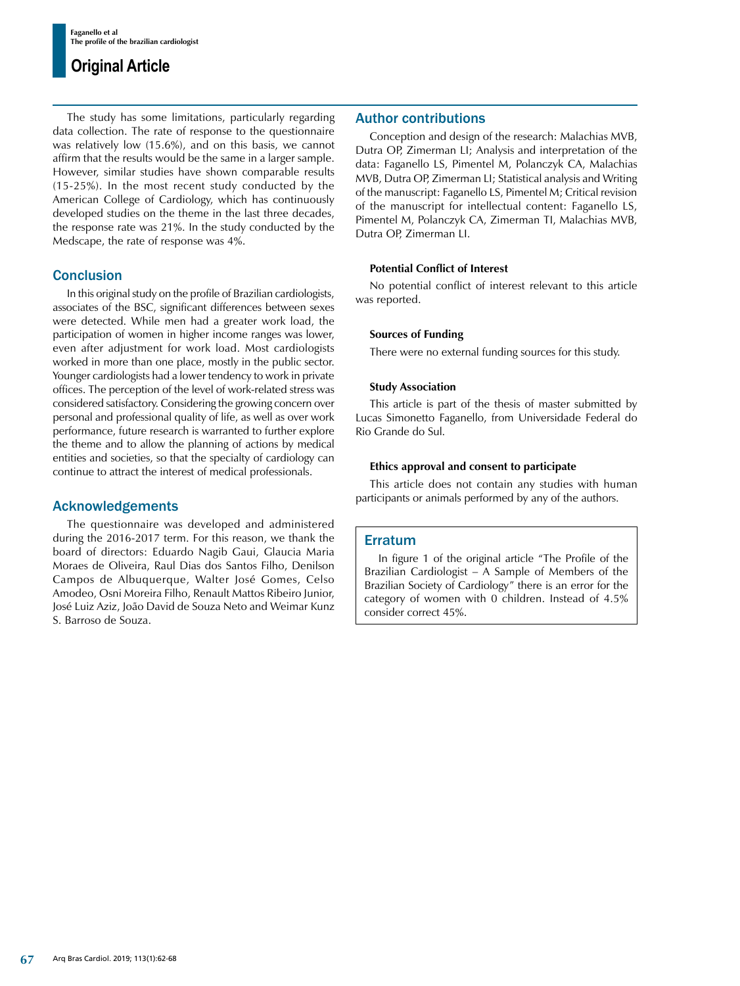The study has some limitations, particularly regarding data collection. The rate of response to the questionnaire was relatively low (15.6%), and on this basis, we cannot affirm that the results would be the same in a larger sample. However, similar studies have shown comparable results (15-25%). In the most recent study conducted by the American College of Cardiology, which has continuously developed studies on the theme in the last three decades, the response rate was 21%. In the study conducted by the Medscape, the rate of response was 4%.

## **Conclusion**

In this original study on the profile of Brazilian cardiologists, associates of the BSC, significant differences between sexes were detected. While men had a greater work load, the participation of women in higher income ranges was lower, even after adjustment for work load. Most cardiologists worked in more than one place, mostly in the public sector. Younger cardiologists had a lower tendency to work in private offices. The perception of the level of work-related stress was considered satisfactory. Considering the growing concern over personal and professional quality of life, as well as over work performance, future research is warranted to further explore the theme and to allow the planning of actions by medical entities and societies, so that the specialty of cardiology can continue to attract the interest of medical professionals.

### Acknowledgements

The questionnaire was developed and administered during the 2016-2017 term. For this reason, we thank the board of directors: Eduardo Nagib Gaui, Glaucia Maria Moraes de Oliveira, Raul Dias dos Santos Filho, Denilson Campos de Albuquerque, Walter José Gomes, Celso Amodeo, Osni Moreira Filho, Renault Mattos Ribeiro Junior, José Luiz Aziz, João David de Souza Neto and Weimar Kunz S. Barroso de Souza.

## Author contributions

Conception and design of the research: Malachias MVB, Dutra OP, Zimerman LI; Analysis and interpretation of the data: Faganello LS, Pimentel M, Polanczyk CA, Malachias MVB, Dutra OP, Zimerman LI; Statistical analysis and Writing of the manuscript: Faganello LS, Pimentel M; Critical revision of the manuscript for intellectual content: Faganello LS, Pimentel M, Polanczyk CA, Zimerman TI, Malachias MVB, Dutra OP, Zimerman LI.

### **Potential Conflict of Interest**

No potential conflict of interest relevant to this article was reported.

### **Sources of Funding**

There were no external funding sources for this study.

### **Study Association**

This article is part of the thesis of master submitted by Lucas Simonetto Faganello, from Universidade Federal do Rio Grande do Sul.

### **Ethics approval and consent to participate**

This article does not contain any studies with human participants or animals performed by any of the authors.

### Erratum

In figure 1 of the original article "The Profile of the Brazilian Cardiologist – A Sample of Members of the Brazilian Society of Cardiology" there is an error for the category of women with 0 children. Instead of 4.5% consider correct 45%.